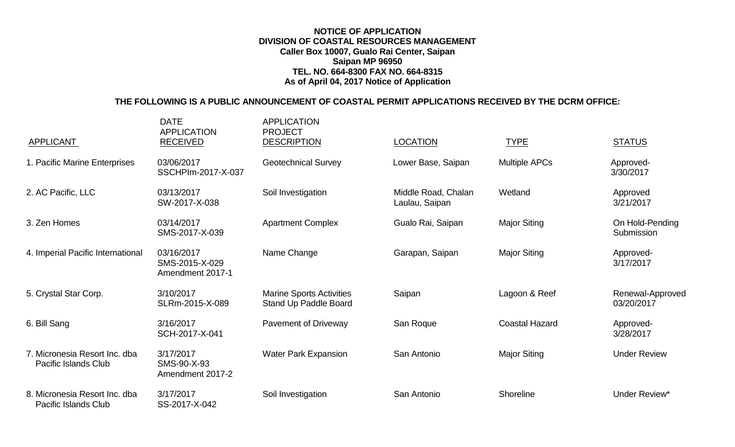## **NOTICE OF APPLICATION DIVISION OF COASTAL RESOURCES MANAGEMENT Caller Box 10007, Gualo Rai Center, Saipan Saipan MP 96950 TEL. NO. 664-8300 FAX NO. 664-8315 As of April 04, 2017 Notice of Application**

## **THE FOLLOWING IS A PUBLIC ANNOUNCEMENT OF COASTAL PERMIT APPLICATIONS RECEIVED BY THE DCRM OFFICE:**

| <b>APPLICANT</b>                                             | <b>DATE</b><br><b>APPLICATION</b><br><b>RECEIVED</b> | <b>APPLICATION</b><br><b>PROJECT</b><br><b>DESCRIPTION</b> | <b>LOCATION</b>                       | <b>TYPE</b>           | <b>STATUS</b>                  |
|--------------------------------------------------------------|------------------------------------------------------|------------------------------------------------------------|---------------------------------------|-----------------------|--------------------------------|
| 1. Pacific Marine Enterprises                                | 03/06/2017<br>SSCHPIm-2017-X-037                     | <b>Geotechnical Survey</b>                                 | Lower Base, Saipan                    | <b>Multiple APCs</b>  | Approved-<br>3/30/2017         |
| 2. AC Pacific, LLC                                           | 03/13/2017<br>SW-2017-X-038                          | Soil Investigation                                         | Middle Road, Chalan<br>Laulau, Saipan | Wetland               | Approved<br>3/21/2017          |
| 3. Zen Homes                                                 | 03/14/2017<br>SMS-2017-X-039                         | <b>Apartment Complex</b>                                   | Gualo Rai, Saipan                     | <b>Major Siting</b>   | On Hold-Pending<br>Submission  |
| 4. Imperial Pacific International                            | 03/16/2017<br>SMS-2015-X-029<br>Amendment 2017-1     | Name Change                                                | Garapan, Saipan                       | <b>Major Siting</b>   | Approved-<br>3/17/2017         |
| 5. Crystal Star Corp.                                        | 3/10/2017<br>SLRm-2015-X-089                         | <b>Marine Sports Activities</b><br>Stand Up Paddle Board   | Saipan                                | Lagoon & Reef         | Renewal-Approved<br>03/20/2017 |
| 6. Bill Sang                                                 | 3/16/2017<br>SCH-2017-X-041                          | Pavement of Driveway                                       | San Roque                             | <b>Coastal Hazard</b> | Approved-<br>3/28/2017         |
| 7. Micronesia Resort Inc. dba<br><b>Pacific Islands Club</b> | 3/17/2017<br>SMS-90-X-93<br>Amendment 2017-2         | <b>Water Park Expansion</b>                                | San Antonio                           | <b>Major Siting</b>   | <b>Under Review</b>            |
| 8. Micronesia Resort Inc. dba<br><b>Pacific Islands Club</b> | 3/17/2017<br>SS-2017-X-042                           | Soil Investigation                                         | San Antonio                           | Shoreline             | Under Review*                  |